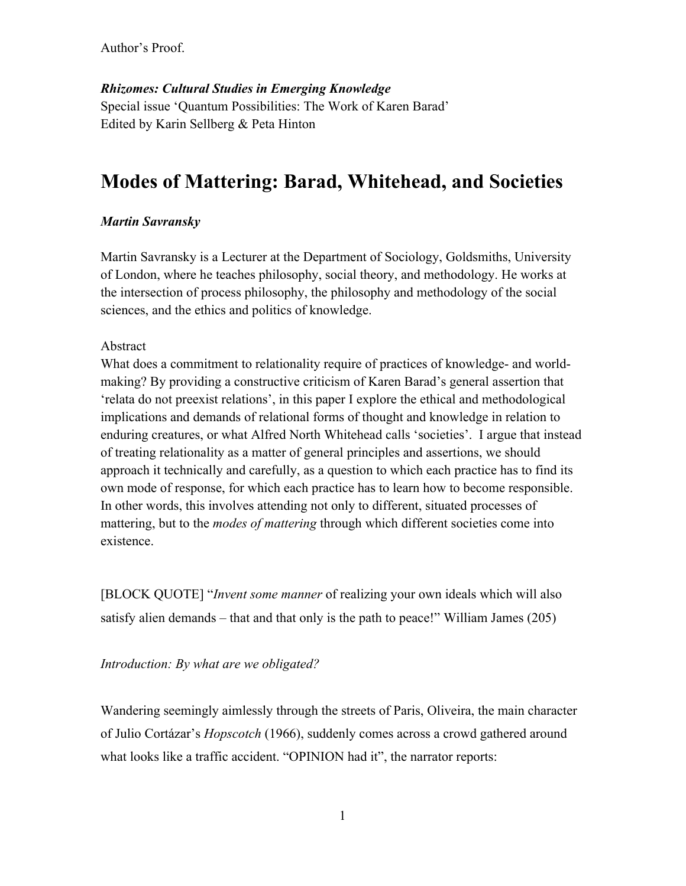*Rhizomes: Cultural Studies in Emerging Knowledge*  Special issue 'Quantum Possibilities: The Work of Karen Barad' Edited by Karin Sellberg & Peta Hinton

# **Modes of Mattering: Barad, Whitehead, and Societies**

# *Martin Savransky*

Martin Savransky is a Lecturer at the Department of Sociology, Goldsmiths, University of London, where he teaches philosophy, social theory, and methodology. He works at the intersection of process philosophy, the philosophy and methodology of the social sciences, and the ethics and politics of knowledge.

## Abstract

What does a commitment to relationality require of practices of knowledge- and worldmaking? By providing a constructive criticism of Karen Barad's general assertion that 'relata do not preexist relations', in this paper I explore the ethical and methodological implications and demands of relational forms of thought and knowledge in relation to enduring creatures, or what Alfred North Whitehead calls 'societies'. I argue that instead of treating relationality as a matter of general principles and assertions, we should approach it technically and carefully, as a question to which each practice has to find its own mode of response, for which each practice has to learn how to become responsible. In other words, this involves attending not only to different, situated processes of mattering, but to the *modes of mattering* through which different societies come into existence.

[BLOCK QUOTE] "*Invent some manner* of realizing your own ideals which will also satisfy alien demands – that and that only is the path to peace!" William James (205)

### *Introduction: By what are we obligated?*

Wandering seemingly aimlessly through the streets of Paris, Oliveira, the main character of Julio Cortázar's *Hopscotch* (1966), suddenly comes across a crowd gathered around what looks like a traffic accident. "OPINION had it", the narrator reports: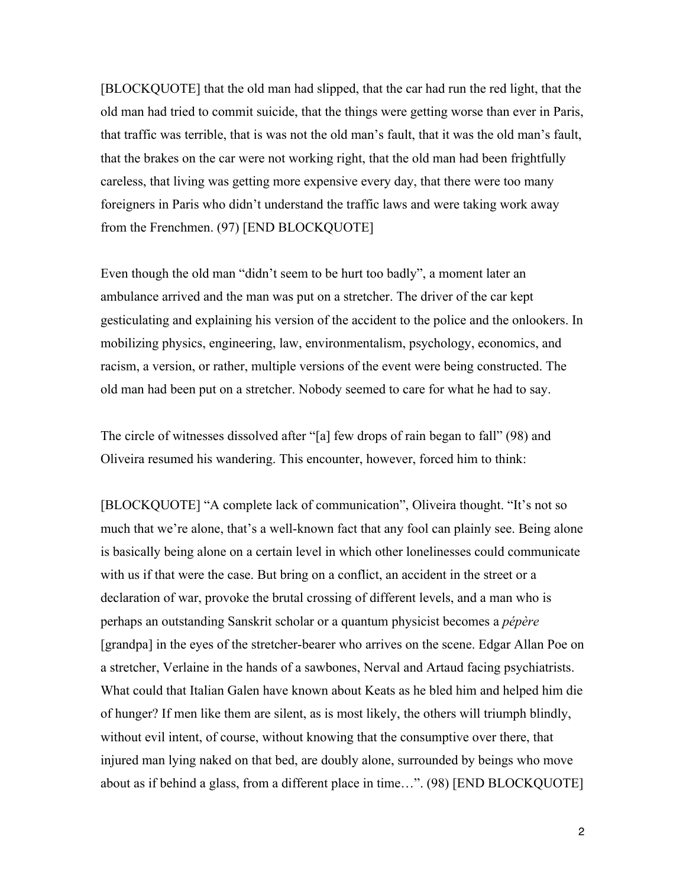[BLOCKQUOTE] that the old man had slipped, that the car had run the red light, that the old man had tried to commit suicide, that the things were getting worse than ever in Paris, that traffic was terrible, that is was not the old man's fault, that it was the old man's fault, that the brakes on the car were not working right, that the old man had been frightfully careless, that living was getting more expensive every day, that there were too many foreigners in Paris who didn't understand the traffic laws and were taking work away from the Frenchmen. (97) [END BLOCKQUOTE]

Even though the old man "didn't seem to be hurt too badly", a moment later an ambulance arrived and the man was put on a stretcher. The driver of the car kept gesticulating and explaining his version of the accident to the police and the onlookers. In mobilizing physics, engineering, law, environmentalism, psychology, economics, and racism, a version, or rather, multiple versions of the event were being constructed. The old man had been put on a stretcher. Nobody seemed to care for what he had to say.

The circle of witnesses dissolved after "[a] few drops of rain began to fall" (98) and Oliveira resumed his wandering. This encounter, however, forced him to think:

[BLOCKQUOTE] "A complete lack of communication", Oliveira thought. "It's not so much that we're alone, that's a well-known fact that any fool can plainly see. Being alone is basically being alone on a certain level in which other lonelinesses could communicate with us if that were the case. But bring on a conflict, an accident in the street or a declaration of war, provoke the brutal crossing of different levels, and a man who is perhaps an outstanding Sanskrit scholar or a quantum physicist becomes a *pépère* [grandpa] in the eyes of the stretcher-bearer who arrives on the scene. Edgar Allan Poe on a stretcher, Verlaine in the hands of a sawbones, Nerval and Artaud facing psychiatrists. What could that Italian Galen have known about Keats as he bled him and helped him die of hunger? If men like them are silent, as is most likely, the others will triumph blindly, without evil intent, of course, without knowing that the consumptive over there, that injured man lying naked on that bed, are doubly alone, surrounded by beings who move about as if behind a glass, from a different place in time…". (98) [END BLOCKQUOTE]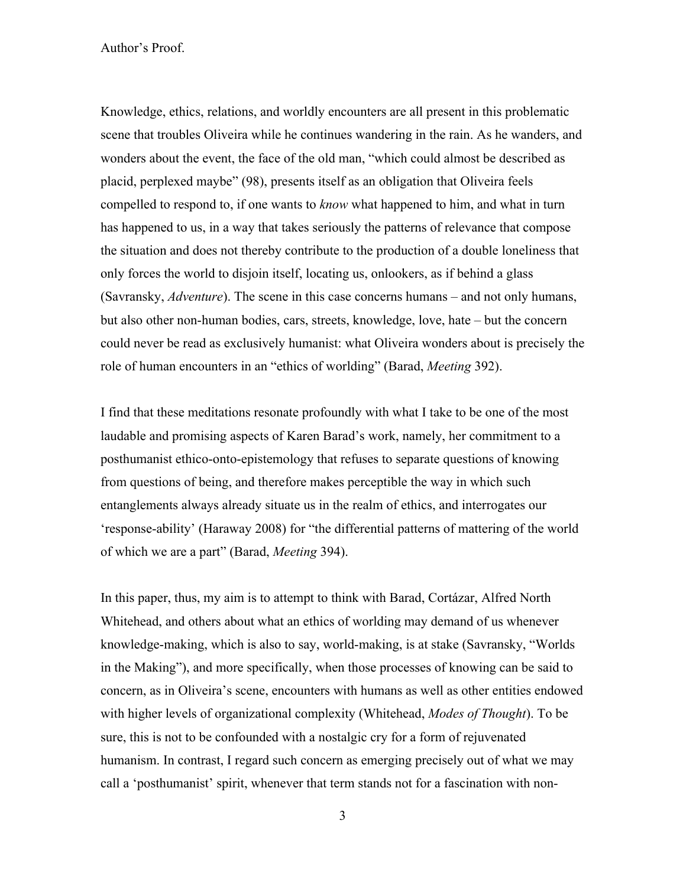Knowledge, ethics, relations, and worldly encounters are all present in this problematic scene that troubles Oliveira while he continues wandering in the rain. As he wanders, and wonders about the event, the face of the old man, "which could almost be described as placid, perplexed maybe" (98), presents itself as an obligation that Oliveira feels compelled to respond to, if one wants to *know* what happened to him, and what in turn has happened to us, in a way that takes seriously the patterns of relevance that compose the situation and does not thereby contribute to the production of a double loneliness that only forces the world to disjoin itself, locating us, onlookers, as if behind a glass (Savransky, *Adventure*). The scene in this case concerns humans – and not only humans, but also other non-human bodies, cars, streets, knowledge, love, hate – but the concern could never be read as exclusively humanist: what Oliveira wonders about is precisely the role of human encounters in an "ethics of worlding" (Barad, *Meeting* 392).

I find that these meditations resonate profoundly with what I take to be one of the most laudable and promising aspects of Karen Barad's work, namely, her commitment to a posthumanist ethico-onto-epistemology that refuses to separate questions of knowing from questions of being, and therefore makes perceptible the way in which such entanglements always already situate us in the realm of ethics, and interrogates our 'response-ability' (Haraway 2008) for "the differential patterns of mattering of the world of which we are a part" (Barad, *Meeting* 394).

In this paper, thus, my aim is to attempt to think with Barad, Cortázar, Alfred North Whitehead, and others about what an ethics of worlding may demand of us whenever knowledge-making, which is also to say, world-making, is at stake (Savransky, "Worlds in the Making"), and more specifically, when those processes of knowing can be said to concern, as in Oliveira's scene, encounters with humans as well as other entities endowed with higher levels of organizational complexity (Whitehead, *Modes of Thought*). To be sure, this is not to be confounded with a nostalgic cry for a form of rejuvenated humanism. In contrast, I regard such concern as emerging precisely out of what we may call a 'posthumanist' spirit, whenever that term stands not for a fascination with non-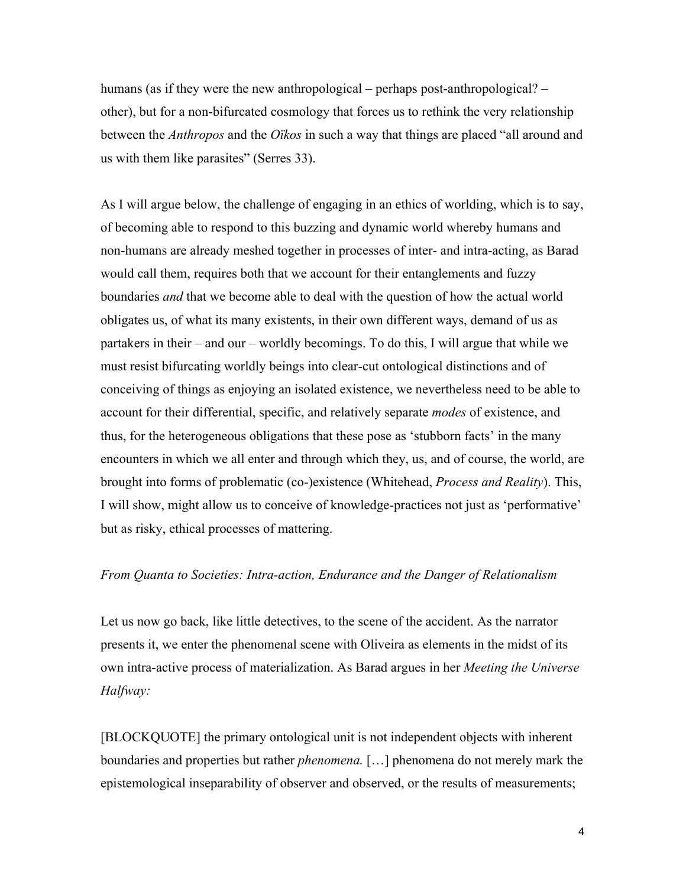humans (as if they were the new anthropological – perhaps post-anthropological? – other), but for a non-bifurcated cosmology that forces us to rethink the very relationship between the *Anthropos* and the *Oïkos* in such a way that things are placed "all around and us with them like parasites" (Serres 33).

As I will argue below, the challenge of engaging in an ethics of worlding, which is to say, of becoming able to respond to this buzzing and dynamic world whereby humans and non-humans are already meshed together in processes of inter- and intra-acting, as Barad would call them, requires both that we account for their entanglements and fuzzy boundaries *and* that we become able to deal with the question of how the actual world obligates us, of what its many existents, in their own different ways, demand of us as partakers in their – and our – worldly becomings. To do this, I will argue that while we must resist bifurcating worldly beings into clear-cut ontological distinctions and of conceiving of things as enjoying an isolated existence, we nevertheless need to be able to account for their differential, specific, and relatively separate *modes* of existence, and thus, for the heterogeneous obligations that these pose as 'stubborn facts' in the many encounters in which we all enter and through which they, us, and of course, the world, are brought into forms of problematic (co-)existence (Whitehead, *Process and Reality*). This, I will show, might allow us to conceive of knowledge-practices not just as 'performative' but as risky, ethical processes of mattering.

#### *From Quanta to Societies: Intra-action, Endurance and the Danger of Relationalism*

Let us now go back, like little detectives, to the scene of the accident. As the narrator presents it, we enter the phenomenal scene with Oliveira as elements in the midst of its own intra-active process of materialization. As Barad argues in her *Meeting the Universe Halfway:*

[BLOCKQUOTE] the primary ontological unit is not independent objects with inherent boundaries and properties but rather *phenomena.* […] phenomena do not merely mark the epistemological inseparability of observer and observed, or the results of measurements;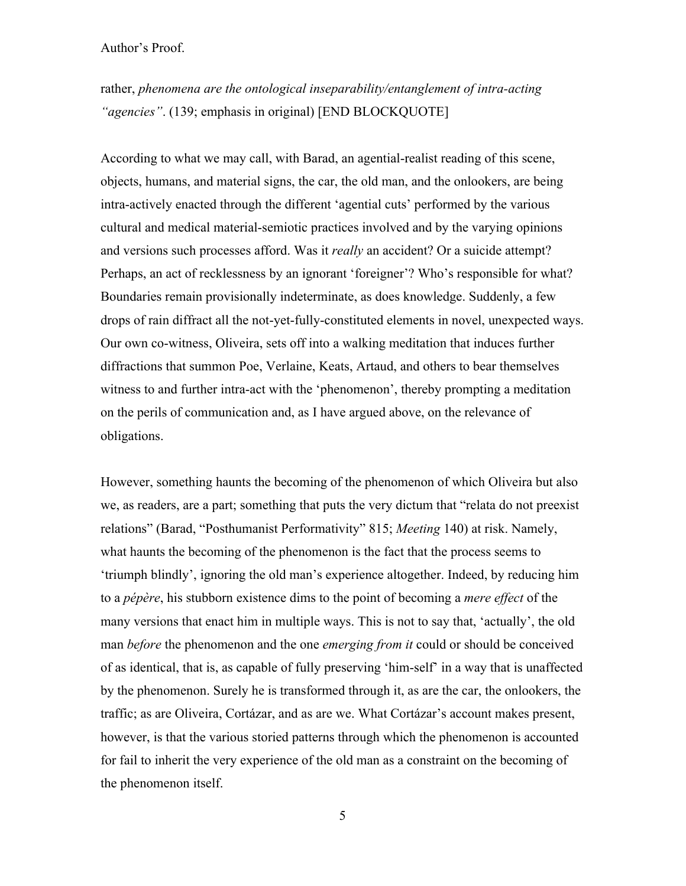rather, *phenomena are the ontological inseparability/entanglement of intra-acting "agencies"*. (139; emphasis in original) [END BLOCKQUOTE]

According to what we may call, with Barad, an agential-realist reading of this scene, objects, humans, and material signs, the car, the old man, and the onlookers, are being intra-actively enacted through the different 'agential cuts' performed by the various cultural and medical material-semiotic practices involved and by the varying opinions and versions such processes afford. Was it *really* an accident? Or a suicide attempt? Perhaps, an act of recklessness by an ignorant 'foreigner'? Who's responsible for what? Boundaries remain provisionally indeterminate, as does knowledge. Suddenly, a few drops of rain diffract all the not-yet-fully-constituted elements in novel, unexpected ways. Our own co-witness, Oliveira, sets off into a walking meditation that induces further diffractions that summon Poe, Verlaine, Keats, Artaud, and others to bear themselves witness to and further intra-act with the 'phenomenon', thereby prompting a meditation on the perils of communication and, as I have argued above, on the relevance of obligations.

However, something haunts the becoming of the phenomenon of which Oliveira but also we, as readers, are a part; something that puts the very dictum that "relata do not preexist relations" (Barad, "Posthumanist Performativity" 815; *Meeting* 140) at risk. Namely, what haunts the becoming of the phenomenon is the fact that the process seems to 'triumph blindly', ignoring the old man's experience altogether. Indeed, by reducing him to a *pépère*, his stubborn existence dims to the point of becoming a *mere effect* of the many versions that enact him in multiple ways. This is not to say that, 'actually', the old man *before* the phenomenon and the one *emerging from it* could or should be conceived of as identical, that is, as capable of fully preserving 'him-self' in a way that is unaffected by the phenomenon. Surely he is transformed through it, as are the car, the onlookers, the traffic; as are Oliveira, Cortázar, and as are we. What Cortázar's account makes present, however, is that the various storied patterns through which the phenomenon is accounted for fail to inherit the very experience of the old man as a constraint on the becoming of the phenomenon itself.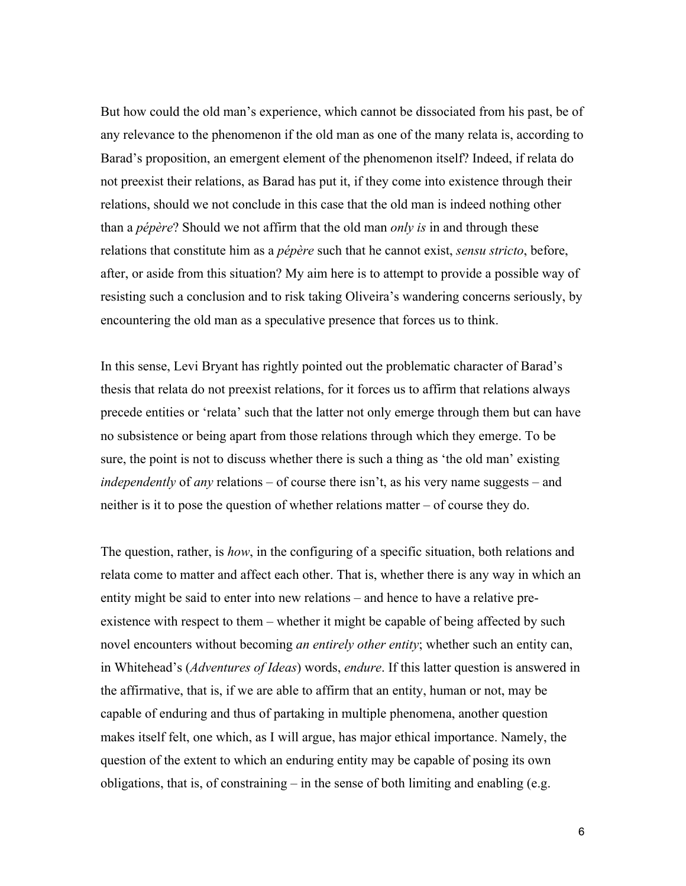But how could the old man's experience, which cannot be dissociated from his past, be of any relevance to the phenomenon if the old man as one of the many relata is, according to Barad's proposition, an emergent element of the phenomenon itself? Indeed, if relata do not preexist their relations, as Barad has put it, if they come into existence through their relations, should we not conclude in this case that the old man is indeed nothing other than a *pépère*? Should we not affirm that the old man *only is* in and through these relations that constitute him as a *pépère* such that he cannot exist, *sensu stricto*, before, after, or aside from this situation? My aim here is to attempt to provide a possible way of resisting such a conclusion and to risk taking Oliveira's wandering concerns seriously, by encountering the old man as a speculative presence that forces us to think.

In this sense, Levi Bryant has rightly pointed out the problematic character of Barad's thesis that relata do not preexist relations, for it forces us to affirm that relations always precede entities or 'relata' such that the latter not only emerge through them but can have no subsistence or being apart from those relations through which they emerge. To be sure, the point is not to discuss whether there is such a thing as 'the old man' existing *independently* of *any* relations – of course there isn't, as his very name suggests – and neither is it to pose the question of whether relations matter – of course they do.

The question, rather, is *how*, in the configuring of a specific situation, both relations and relata come to matter and affect each other. That is, whether there is any way in which an entity might be said to enter into new relations – and hence to have a relative preexistence with respect to them – whether it might be capable of being affected by such novel encounters without becoming *an entirely other entity*; whether such an entity can, in Whitehead's (*Adventures of Ideas*) words, *endure*. If this latter question is answered in the affirmative, that is, if we are able to affirm that an entity, human or not, may be capable of enduring and thus of partaking in multiple phenomena, another question makes itself felt, one which, as I will argue, has major ethical importance. Namely, the question of the extent to which an enduring entity may be capable of posing its own obligations, that is, of constraining – in the sense of both limiting and enabling (e.g.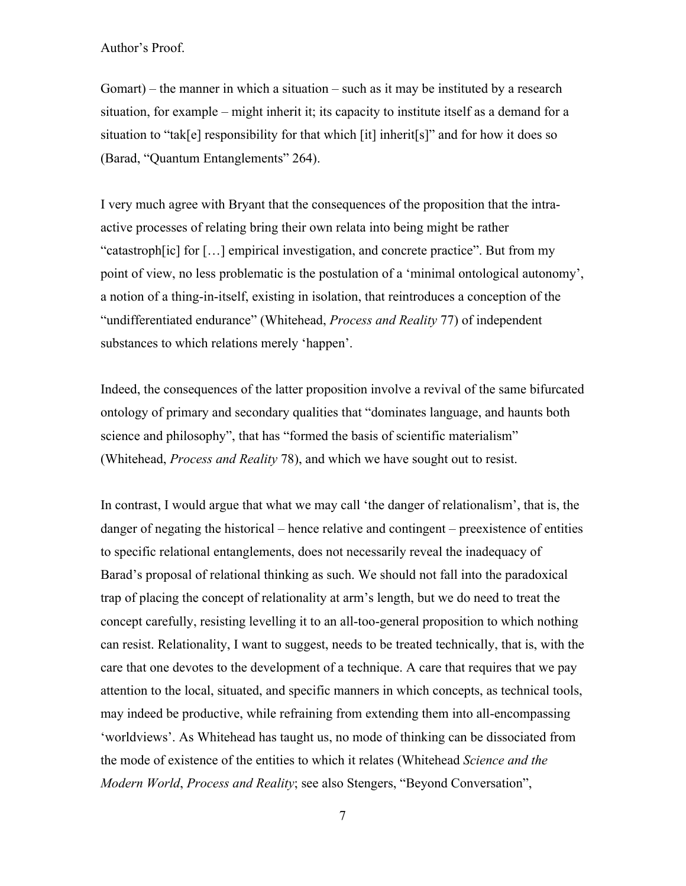Gomart) – the manner in which a situation – such as it may be instituted by a research situation, for example – might inherit it; its capacity to institute itself as a demand for a situation to "tak[e] responsibility for that which [it] inherit[s]" and for how it does so (Barad, "Quantum Entanglements" 264).

I very much agree with Bryant that the consequences of the proposition that the intraactive processes of relating bring their own relata into being might be rather "catastroph[ic] for […] empirical investigation, and concrete practice". But from my point of view, no less problematic is the postulation of a 'minimal ontological autonomy', a notion of a thing-in-itself, existing in isolation, that reintroduces a conception of the "undifferentiated endurance" (Whitehead, *Process and Reality* 77) of independent substances to which relations merely 'happen'.

Indeed, the consequences of the latter proposition involve a revival of the same bifurcated ontology of primary and secondary qualities that "dominates language, and haunts both science and philosophy", that has "formed the basis of scientific materialism" (Whitehead, *Process and Reality* 78), and which we have sought out to resist.

In contrast, I would argue that what we may call 'the danger of relationalism', that is, the danger of negating the historical – hence relative and contingent – preexistence of entities to specific relational entanglements, does not necessarily reveal the inadequacy of Barad's proposal of relational thinking as such. We should not fall into the paradoxical trap of placing the concept of relationality at arm's length, but we do need to treat the concept carefully, resisting levelling it to an all-too-general proposition to which nothing can resist. Relationality, I want to suggest, needs to be treated technically, that is, with the care that one devotes to the development of a technique. A care that requires that we pay attention to the local, situated, and specific manners in which concepts, as technical tools, may indeed be productive, while refraining from extending them into all-encompassing 'worldviews'. As Whitehead has taught us, no mode of thinking can be dissociated from the mode of existence of the entities to which it relates (Whitehead *Science and the Modern World*, *Process and Reality*; see also Stengers, "Beyond Conversation",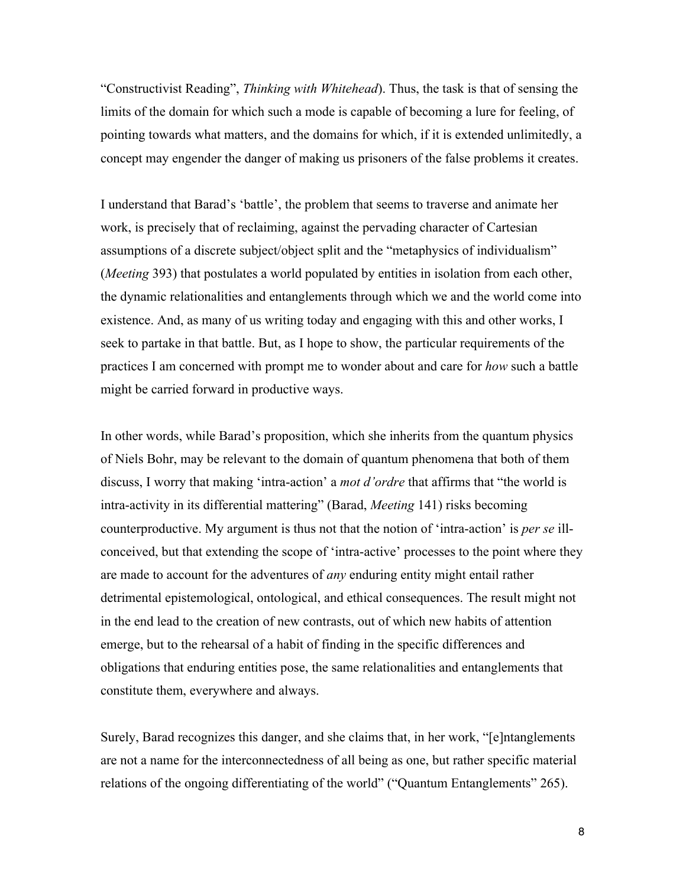"Constructivist Reading", *Thinking with Whitehead*). Thus, the task is that of sensing the limits of the domain for which such a mode is capable of becoming a lure for feeling, of pointing towards what matters, and the domains for which, if it is extended unlimitedly, a concept may engender the danger of making us prisoners of the false problems it creates.

I understand that Barad's 'battle', the problem that seems to traverse and animate her work, is precisely that of reclaiming, against the pervading character of Cartesian assumptions of a discrete subject/object split and the "metaphysics of individualism" (*Meeting* 393) that postulates a world populated by entities in isolation from each other, the dynamic relationalities and entanglements through which we and the world come into existence. And, as many of us writing today and engaging with this and other works, I seek to partake in that battle. But, as I hope to show, the particular requirements of the practices I am concerned with prompt me to wonder about and care for *how* such a battle might be carried forward in productive ways.

In other words, while Barad's proposition, which she inherits from the quantum physics of Niels Bohr, may be relevant to the domain of quantum phenomena that both of them discuss, I worry that making 'intra-action' a *mot d'ordre* that affirms that "the world is intra-activity in its differential mattering" (Barad, *Meeting* 141) risks becoming counterproductive. My argument is thus not that the notion of 'intra-action' is *per se* illconceived, but that extending the scope of 'intra-active' processes to the point where they are made to account for the adventures of *any* enduring entity might entail rather detrimental epistemological, ontological, and ethical consequences. The result might not in the end lead to the creation of new contrasts, out of which new habits of attention emerge, but to the rehearsal of a habit of finding in the specific differences and obligations that enduring entities pose, the same relationalities and entanglements that constitute them, everywhere and always.

Surely, Barad recognizes this danger, and she claims that, in her work, "[e]ntanglements are not a name for the interconnectedness of all being as one, but rather specific material relations of the ongoing differentiating of the world" ("Quantum Entanglements" 265).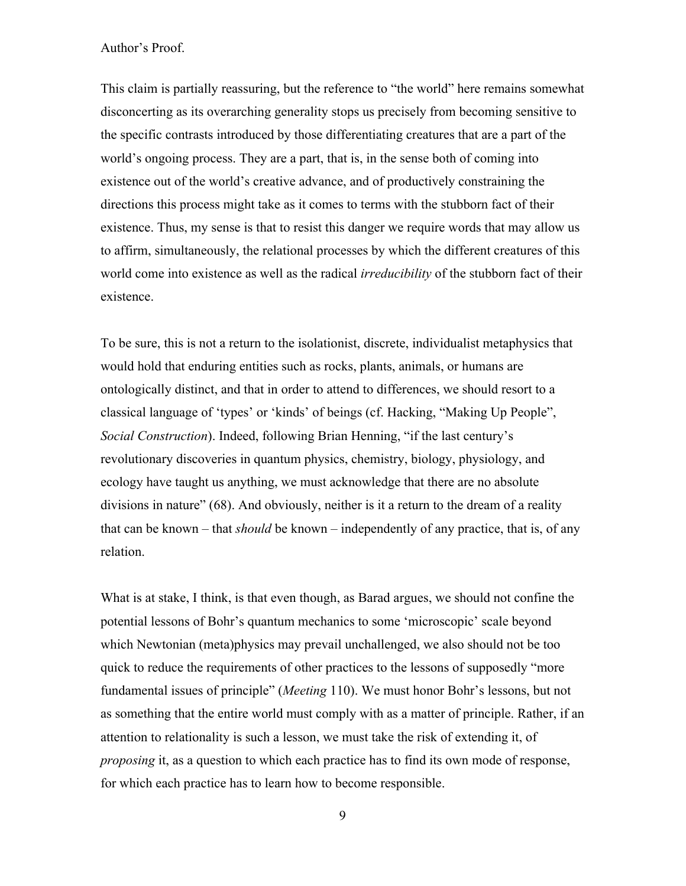This claim is partially reassuring, but the reference to "the world" here remains somewhat disconcerting as its overarching generality stops us precisely from becoming sensitive to the specific contrasts introduced by those differentiating creatures that are a part of the world's ongoing process. They are a part, that is, in the sense both of coming into existence out of the world's creative advance, and of productively constraining the directions this process might take as it comes to terms with the stubborn fact of their existence. Thus, my sense is that to resist this danger we require words that may allow us to affirm, simultaneously, the relational processes by which the different creatures of this world come into existence as well as the radical *irreducibility* of the stubborn fact of their existence.

To be sure, this is not a return to the isolationist, discrete, individualist metaphysics that would hold that enduring entities such as rocks, plants, animals, or humans are ontologically distinct, and that in order to attend to differences, we should resort to a classical language of 'types' or 'kinds' of beings (cf. Hacking, "Making Up People", *Social Construction*). Indeed, following Brian Henning, "if the last century's revolutionary discoveries in quantum physics, chemistry, biology, physiology, and ecology have taught us anything, we must acknowledge that there are no absolute divisions in nature" (68). And obviously, neither is it a return to the dream of a reality that can be known – that *should* be known – independently of any practice, that is, of any relation.

What is at stake, I think, is that even though, as Barad argues, we should not confine the potential lessons of Bohr's quantum mechanics to some 'microscopic' scale beyond which Newtonian (meta)physics may prevail unchallenged, we also should not be too quick to reduce the requirements of other practices to the lessons of supposedly "more fundamental issues of principle" (*Meeting* 110). We must honor Bohr's lessons, but not as something that the entire world must comply with as a matter of principle. Rather, if an attention to relationality is such a lesson, we must take the risk of extending it, of *proposing* it, as a question to which each practice has to find its own mode of response, for which each practice has to learn how to become responsible.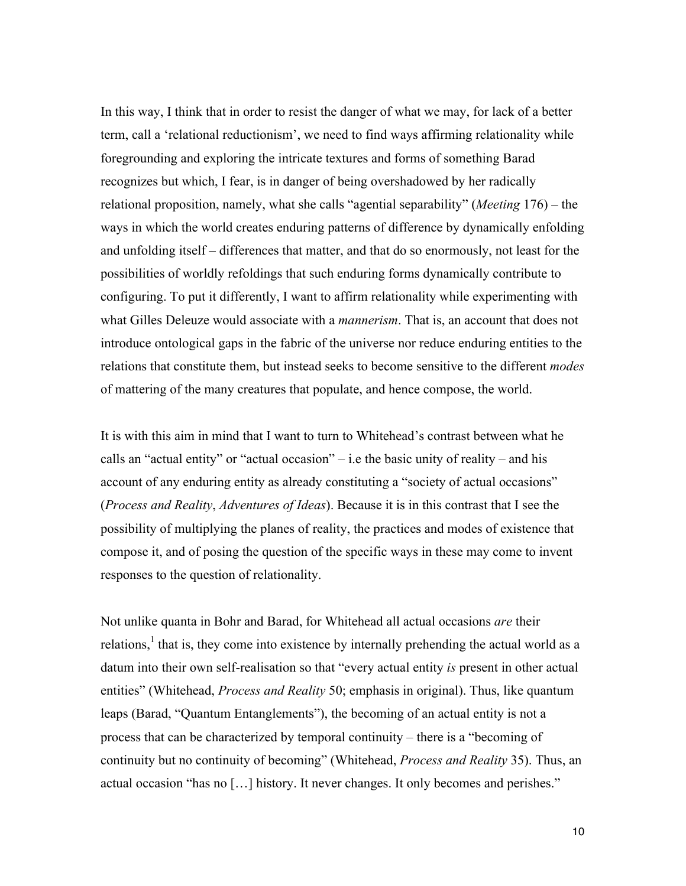In this way, I think that in order to resist the danger of what we may, for lack of a better term, call a 'relational reductionism', we need to find ways affirming relationality while foregrounding and exploring the intricate textures and forms of something Barad recognizes but which, I fear, is in danger of being overshadowed by her radically relational proposition, namely, what she calls "agential separability" (*Meeting* 176) – the ways in which the world creates enduring patterns of difference by dynamically enfolding and unfolding itself – differences that matter, and that do so enormously, not least for the possibilities of worldly refoldings that such enduring forms dynamically contribute to configuring. To put it differently, I want to affirm relationality while experimenting with what Gilles Deleuze would associate with a *mannerism*. That is, an account that does not introduce ontological gaps in the fabric of the universe nor reduce enduring entities to the relations that constitute them, but instead seeks to become sensitive to the different *modes* of mattering of the many creatures that populate, and hence compose, the world.

It is with this aim in mind that I want to turn to Whitehead's contrast between what he calls an "actual entity" or "actual occasion" – i.e the basic unity of reality – and his account of any enduring entity as already constituting a "society of actual occasions" (*Process and Reality*, *Adventures of Ideas*). Because it is in this contrast that I see the possibility of multiplying the planes of reality, the practices and modes of existence that compose it, and of posing the question of the specific ways in these may come to invent responses to the question of relationality.

Not unlike quanta in Bohr and Barad, for Whitehead all actual occasions *are* their relations,<sup>1</sup> that is, they come into existence by internally prehending the actual world as a datum into their own self-realisation so that "every actual entity *is* present in other actual entities" (Whitehead, *Process and Reality* 50; emphasis in original). Thus, like quantum leaps (Barad, "Quantum Entanglements"), the becoming of an actual entity is not a process that can be characterized by temporal continuity – there is a "becoming of continuity but no continuity of becoming" (Whitehead, *Process and Reality* 35). Thus, an actual occasion "has no […] history. It never changes. It only becomes and perishes."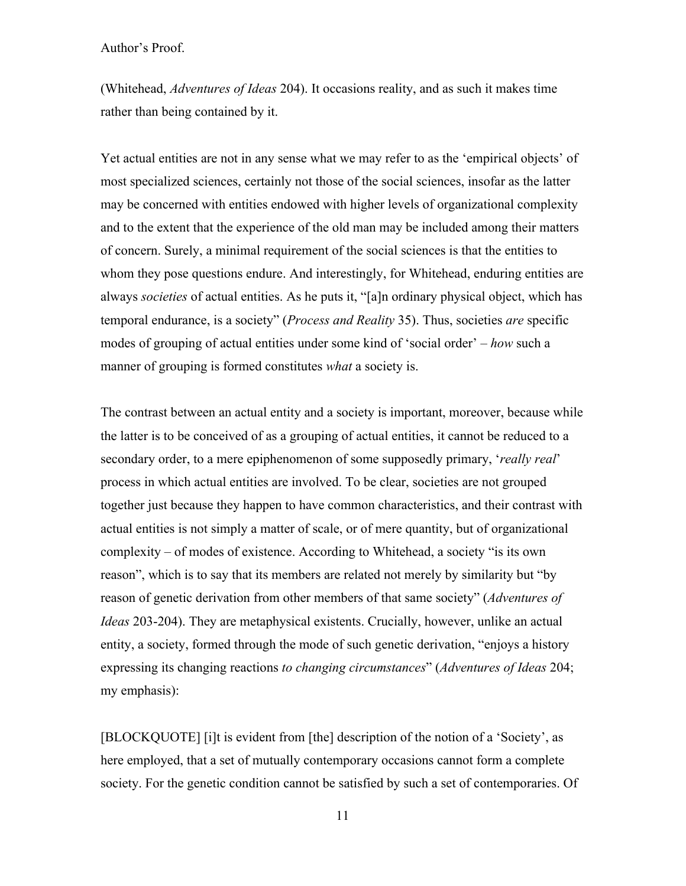(Whitehead, *Adventures of Ideas* 204). It occasions reality, and as such it makes time rather than being contained by it.

Yet actual entities are not in any sense what we may refer to as the 'empirical objects' of most specialized sciences, certainly not those of the social sciences, insofar as the latter may be concerned with entities endowed with higher levels of organizational complexity and to the extent that the experience of the old man may be included among their matters of concern. Surely, a minimal requirement of the social sciences is that the entities to whom they pose questions endure. And interestingly, for Whitehead, enduring entities are always *societies* of actual entities. As he puts it, "[a]n ordinary physical object, which has temporal endurance, is a society" (*Process and Reality* 35). Thus, societies *are* specific modes of grouping of actual entities under some kind of 'social order' – *how* such a manner of grouping is formed constitutes *what* a society is.

The contrast between an actual entity and a society is important, moreover, because while the latter is to be conceived of as a grouping of actual entities, it cannot be reduced to a secondary order, to a mere epiphenomenon of some supposedly primary, '*really real*' process in which actual entities are involved. To be clear, societies are not grouped together just because they happen to have common characteristics, and their contrast with actual entities is not simply a matter of scale, or of mere quantity, but of organizational complexity – of modes of existence. According to Whitehead, a society "is its own reason", which is to say that its members are related not merely by similarity but "by reason of genetic derivation from other members of that same society" (*Adventures of Ideas* 203-204). They are metaphysical existents. Crucially, however, unlike an actual entity, a society, formed through the mode of such genetic derivation, "enjoys a history expressing its changing reactions *to changing circumstances*" (*Adventures of Ideas* 204; my emphasis):

[BLOCKQUOTE] [i]t is evident from [the] description of the notion of a 'Society', as here employed, that a set of mutually contemporary occasions cannot form a complete society. For the genetic condition cannot be satisfied by such a set of contemporaries. Of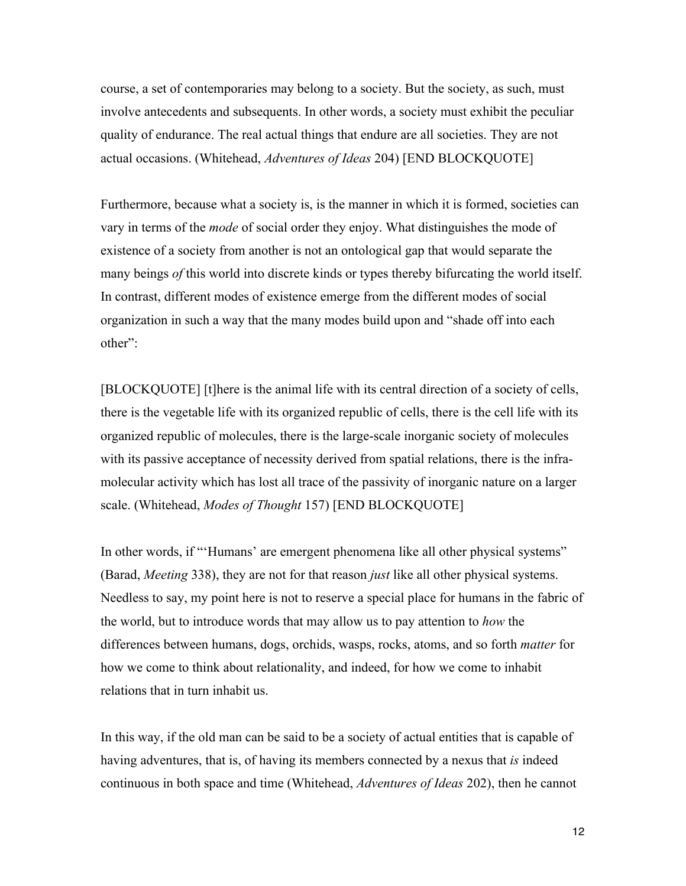course, a set of contemporaries may belong to a society. But the society, as such, must involve antecedents and subsequents. In other words, a society must exhibit the peculiar quality of endurance. The real actual things that endure are all societies. They are not actual occasions. (Whitehead, *Adventures of Ideas* 204) [END BLOCKQUOTE]

Furthermore, because what a society is, is the manner in which it is formed, societies can vary in terms of the *mode* of social order they enjoy. What distinguishes the mode of existence of a society from another is not an ontological gap that would separate the many beings *of* this world into discrete kinds or types thereby bifurcating the world itself. In contrast, different modes of existence emerge from the different modes of social organization in such a way that the many modes build upon and "shade off into each other":

[BLOCKQUOTE] [t]here is the animal life with its central direction of a society of cells, there is the vegetable life with its organized republic of cells, there is the cell life with its organized republic of molecules, there is the large-scale inorganic society of molecules with its passive acceptance of necessity derived from spatial relations, there is the inframolecular activity which has lost all trace of the passivity of inorganic nature on a larger scale. (Whitehead, *Modes of Thought* 157) [END BLOCKQUOTE]

In other words, if "'Humans' are emergent phenomena like all other physical systems" (Barad, *Meeting* 338), they are not for that reason *just* like all other physical systems. Needless to say, my point here is not to reserve a special place for humans in the fabric of the world, but to introduce words that may allow us to pay attention to *how* the differences between humans, dogs, orchids, wasps, rocks, atoms, and so forth *matter* for how we come to think about relationality, and indeed, for how we come to inhabit relations that in turn inhabit us.

In this way, if the old man can be said to be a society of actual entities that is capable of having adventures, that is, of having its members connected by a nexus that *is* indeed continuous in both space and time (Whitehead, *Adventures of Ideas* 202), then he cannot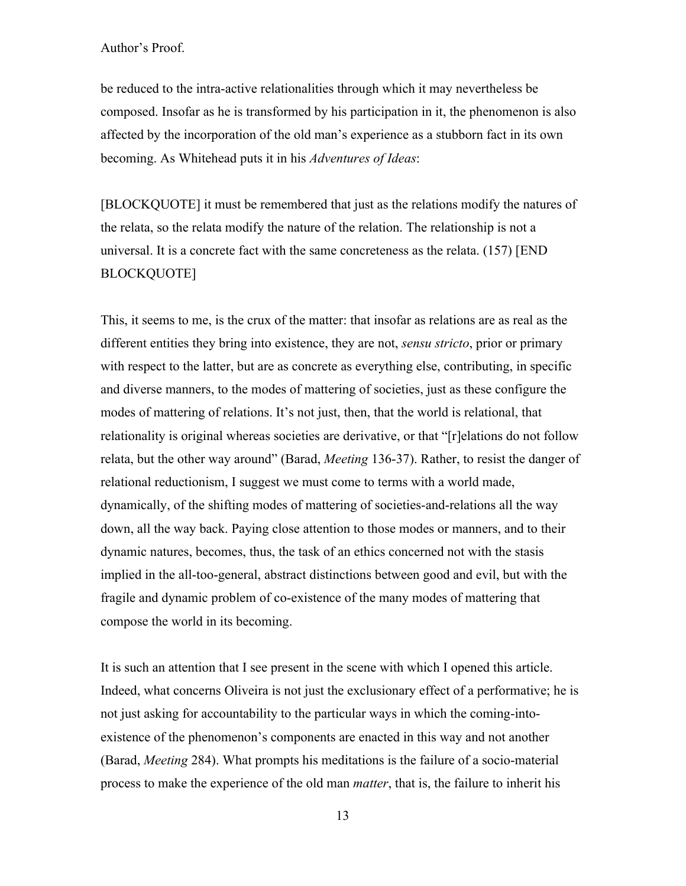be reduced to the intra-active relationalities through which it may nevertheless be composed. Insofar as he is transformed by his participation in it, the phenomenon is also affected by the incorporation of the old man's experience as a stubborn fact in its own becoming. As Whitehead puts it in his *Adventures of Ideas*:

[BLOCKQUOTE] it must be remembered that just as the relations modify the natures of the relata, so the relata modify the nature of the relation. The relationship is not a universal. It is a concrete fact with the same concreteness as the relata. (157) [END BLOCKQUOTE]

This, it seems to me, is the crux of the matter: that insofar as relations are as real as the different entities they bring into existence, they are not, *sensu stricto*, prior or primary with respect to the latter, but are as concrete as everything else, contributing, in specific and diverse manners, to the modes of mattering of societies, just as these configure the modes of mattering of relations. It's not just, then, that the world is relational, that relationality is original whereas societies are derivative, or that "[r]elations do not follow relata, but the other way around" (Barad, *Meeting* 136-37). Rather, to resist the danger of relational reductionism, I suggest we must come to terms with a world made, dynamically, of the shifting modes of mattering of societies-and-relations all the way down, all the way back. Paying close attention to those modes or manners, and to their dynamic natures, becomes, thus, the task of an ethics concerned not with the stasis implied in the all-too-general, abstract distinctions between good and evil, but with the fragile and dynamic problem of co-existence of the many modes of mattering that compose the world in its becoming.

It is such an attention that I see present in the scene with which I opened this article. Indeed, what concerns Oliveira is not just the exclusionary effect of a performative; he is not just asking for accountability to the particular ways in which the coming-intoexistence of the phenomenon's components are enacted in this way and not another (Barad, *Meeting* 284). What prompts his meditations is the failure of a socio-material process to make the experience of the old man *matter*, that is, the failure to inherit his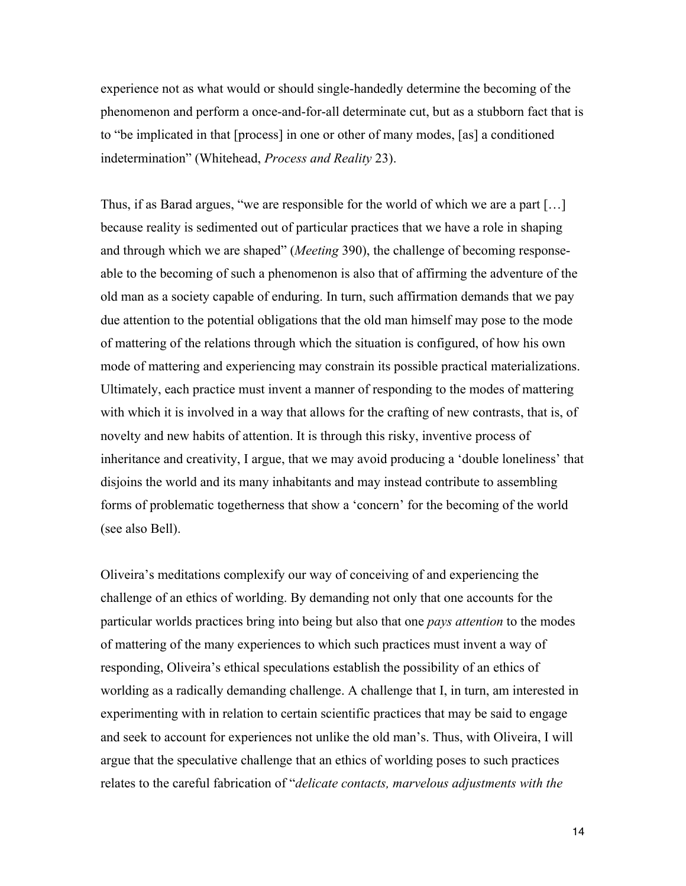experience not as what would or should single-handedly determine the becoming of the phenomenon and perform a once-and-for-all determinate cut, but as a stubborn fact that is to "be implicated in that [process] in one or other of many modes, [as] a conditioned indetermination" (Whitehead, *Process and Reality* 23).

Thus, if as Barad argues, "we are responsible for the world of which we are a part […] because reality is sedimented out of particular practices that we have a role in shaping and through which we are shaped" (*Meeting* 390), the challenge of becoming responseable to the becoming of such a phenomenon is also that of affirming the adventure of the old man as a society capable of enduring. In turn, such affirmation demands that we pay due attention to the potential obligations that the old man himself may pose to the mode of mattering of the relations through which the situation is configured, of how his own mode of mattering and experiencing may constrain its possible practical materializations. Ultimately, each practice must invent a manner of responding to the modes of mattering with which it is involved in a way that allows for the crafting of new contrasts, that is, of novelty and new habits of attention. It is through this risky, inventive process of inheritance and creativity, I argue, that we may avoid producing a 'double loneliness' that disjoins the world and its many inhabitants and may instead contribute to assembling forms of problematic togetherness that show a 'concern' for the becoming of the world (see also Bell).

Oliveira's meditations complexify our way of conceiving of and experiencing the challenge of an ethics of worlding. By demanding not only that one accounts for the particular worlds practices bring into being but also that one *pays attention* to the modes of mattering of the many experiences to which such practices must invent a way of responding, Oliveira's ethical speculations establish the possibility of an ethics of worlding as a radically demanding challenge. A challenge that I, in turn, am interested in experimenting with in relation to certain scientific practices that may be said to engage and seek to account for experiences not unlike the old man's. Thus, with Oliveira, I will argue that the speculative challenge that an ethics of worlding poses to such practices relates to the careful fabrication of "*delicate contacts, marvelous adjustments with the*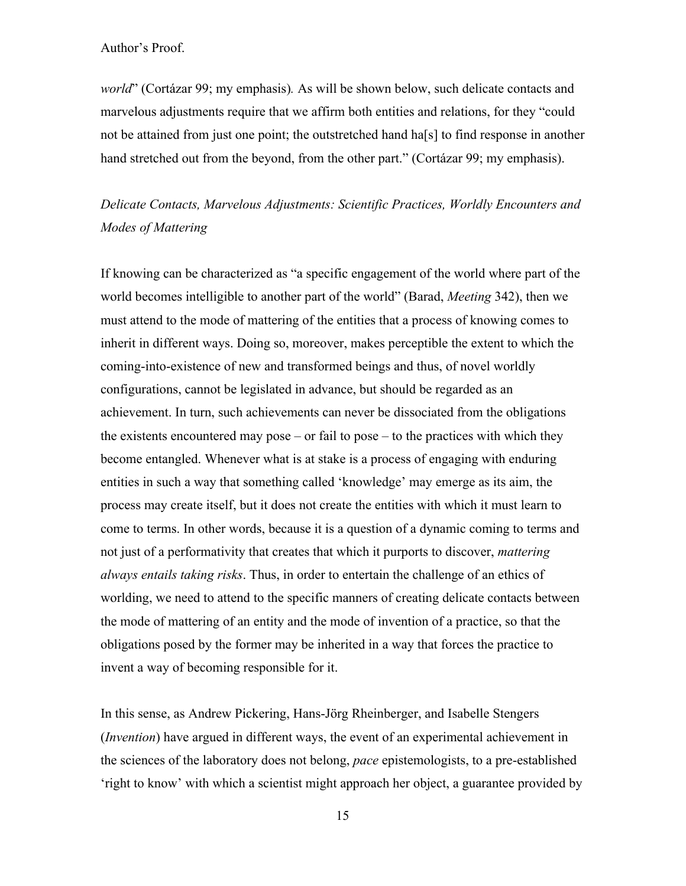*world*" (Cortázar 99; my emphasis)*.* As will be shown below, such delicate contacts and marvelous adjustments require that we affirm both entities and relations, for they "could not be attained from just one point; the outstretched hand ha[s] to find response in another hand stretched out from the beyond, from the other part." (Cortázar 99; my emphasis).

# *Delicate Contacts, Marvelous Adjustments: Scientific Practices, Worldly Encounters and Modes of Mattering*

If knowing can be characterized as "a specific engagement of the world where part of the world becomes intelligible to another part of the world" (Barad, *Meeting* 342), then we must attend to the mode of mattering of the entities that a process of knowing comes to inherit in different ways. Doing so, moreover, makes perceptible the extent to which the coming-into-existence of new and transformed beings and thus, of novel worldly configurations, cannot be legislated in advance, but should be regarded as an achievement. In turn, such achievements can never be dissociated from the obligations the existents encountered may pose – or fail to pose – to the practices with which they become entangled. Whenever what is at stake is a process of engaging with enduring entities in such a way that something called 'knowledge' may emerge as its aim, the process may create itself, but it does not create the entities with which it must learn to come to terms. In other words, because it is a question of a dynamic coming to terms and not just of a performativity that creates that which it purports to discover, *mattering always entails taking risks*. Thus, in order to entertain the challenge of an ethics of worlding, we need to attend to the specific manners of creating delicate contacts between the mode of mattering of an entity and the mode of invention of a practice, so that the obligations posed by the former may be inherited in a way that forces the practice to invent a way of becoming responsible for it.

In this sense, as Andrew Pickering, Hans-Jörg Rheinberger, and Isabelle Stengers (*Invention*) have argued in different ways, the event of an experimental achievement in the sciences of the laboratory does not belong, *pace* epistemologists, to a pre-established 'right to know' with which a scientist might approach her object, a guarantee provided by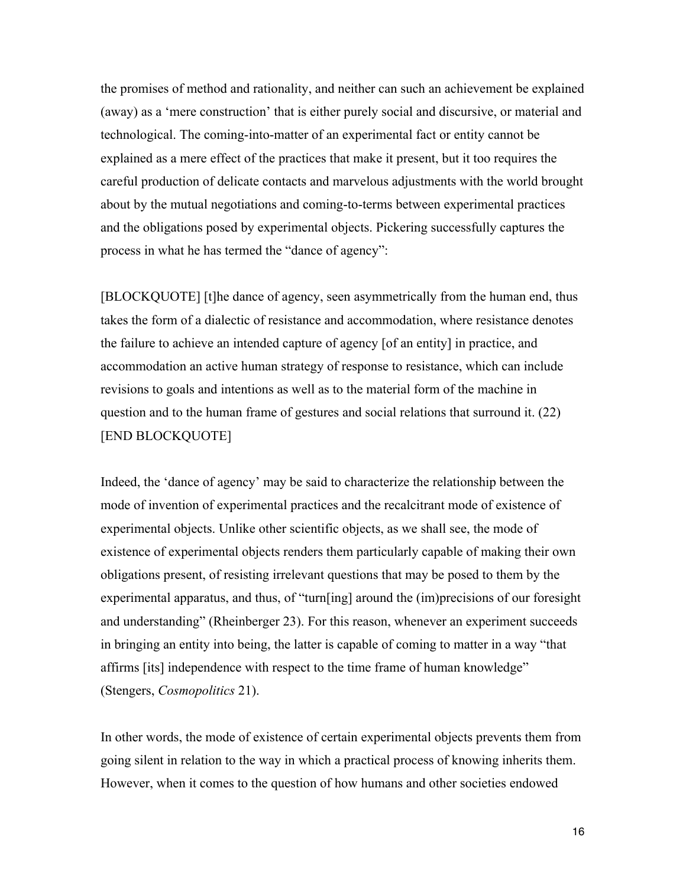the promises of method and rationality, and neither can such an achievement be explained (away) as a 'mere construction' that is either purely social and discursive, or material and technological. The coming-into-matter of an experimental fact or entity cannot be explained as a mere effect of the practices that make it present, but it too requires the careful production of delicate contacts and marvelous adjustments with the world brought about by the mutual negotiations and coming-to-terms between experimental practices and the obligations posed by experimental objects. Pickering successfully captures the process in what he has termed the "dance of agency":

[BLOCKQUOTE] [t]he dance of agency, seen asymmetrically from the human end, thus takes the form of a dialectic of resistance and accommodation, where resistance denotes the failure to achieve an intended capture of agency [of an entity] in practice, and accommodation an active human strategy of response to resistance, which can include revisions to goals and intentions as well as to the material form of the machine in question and to the human frame of gestures and social relations that surround it. (22) [END BLOCKQUOTE]

Indeed, the 'dance of agency' may be said to characterize the relationship between the mode of invention of experimental practices and the recalcitrant mode of existence of experimental objects. Unlike other scientific objects, as we shall see, the mode of existence of experimental objects renders them particularly capable of making their own obligations present, of resisting irrelevant questions that may be posed to them by the experimental apparatus, and thus, of "turn[ing] around the (im)precisions of our foresight and understanding" (Rheinberger 23). For this reason, whenever an experiment succeeds in bringing an entity into being, the latter is capable of coming to matter in a way "that affirms [its] independence with respect to the time frame of human knowledge" (Stengers, *Cosmopolitics* 21).

In other words, the mode of existence of certain experimental objects prevents them from going silent in relation to the way in which a practical process of knowing inherits them. However, when it comes to the question of how humans and other societies endowed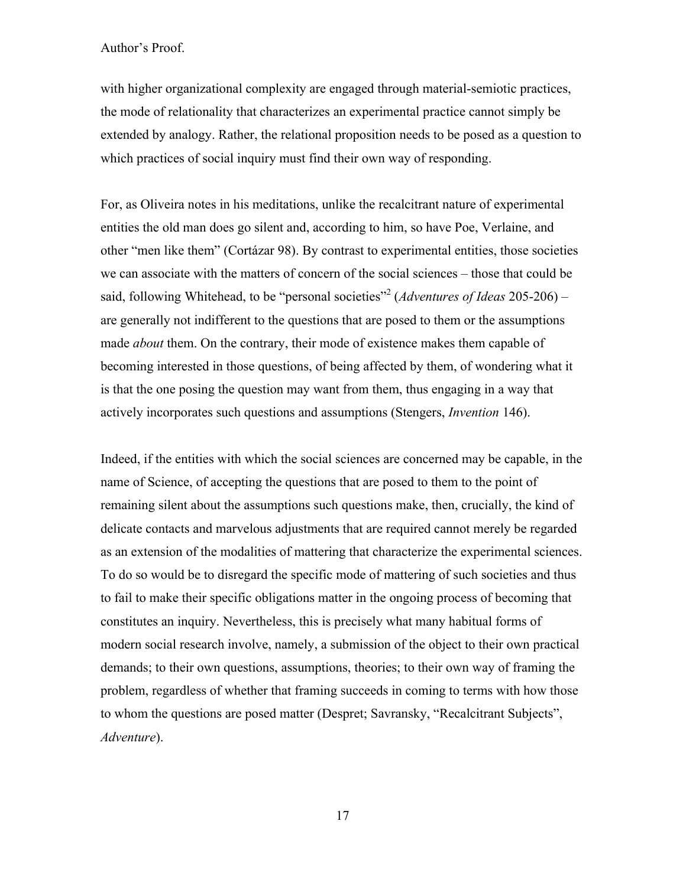with higher organizational complexity are engaged through material-semiotic practices, the mode of relationality that characterizes an experimental practice cannot simply be extended by analogy. Rather, the relational proposition needs to be posed as a question to which practices of social inquiry must find their own way of responding.

For, as Oliveira notes in his meditations, unlike the recalcitrant nature of experimental entities the old man does go silent and, according to him, so have Poe, Verlaine, and other "men like them" (Cortázar 98). By contrast to experimental entities, those societies we can associate with the matters of concern of the social sciences – those that could be said, following Whitehead, to be "personal societies" <sup>2</sup> (*Adventures of Ideas* 205-206) – are generally not indifferent to the questions that are posed to them or the assumptions made *about* them. On the contrary, their mode of existence makes them capable of becoming interested in those questions, of being affected by them, of wondering what it is that the one posing the question may want from them, thus engaging in a way that actively incorporates such questions and assumptions (Stengers, *Invention* 146).

Indeed, if the entities with which the social sciences are concerned may be capable, in the name of Science, of accepting the questions that are posed to them to the point of remaining silent about the assumptions such questions make, then, crucially, the kind of delicate contacts and marvelous adjustments that are required cannot merely be regarded as an extension of the modalities of mattering that characterize the experimental sciences. To do so would be to disregard the specific mode of mattering of such societies and thus to fail to make their specific obligations matter in the ongoing process of becoming that constitutes an inquiry. Nevertheless, this is precisely what many habitual forms of modern social research involve, namely, a submission of the object to their own practical demands; to their own questions, assumptions, theories; to their own way of framing the problem, regardless of whether that framing succeeds in coming to terms with how those to whom the questions are posed matter (Despret; Savransky, "Recalcitrant Subjects", *Adventure*).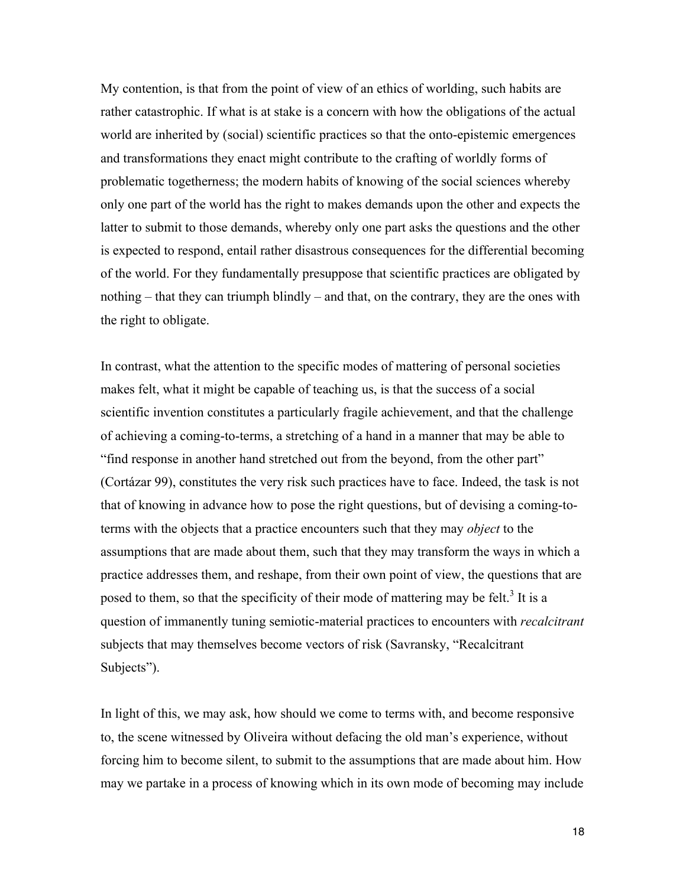My contention, is that from the point of view of an ethics of worlding, such habits are rather catastrophic. If what is at stake is a concern with how the obligations of the actual world are inherited by (social) scientific practices so that the onto-epistemic emergences and transformations they enact might contribute to the crafting of worldly forms of problematic togetherness; the modern habits of knowing of the social sciences whereby only one part of the world has the right to makes demands upon the other and expects the latter to submit to those demands, whereby only one part asks the questions and the other is expected to respond, entail rather disastrous consequences for the differential becoming of the world. For they fundamentally presuppose that scientific practices are obligated by nothing – that they can triumph blindly – and that, on the contrary, they are the ones with the right to obligate.

In contrast, what the attention to the specific modes of mattering of personal societies makes felt, what it might be capable of teaching us, is that the success of a social scientific invention constitutes a particularly fragile achievement, and that the challenge of achieving a coming-to-terms, a stretching of a hand in a manner that may be able to "find response in another hand stretched out from the beyond, from the other part" (Cortázar 99), constitutes the very risk such practices have to face. Indeed, the task is not that of knowing in advance how to pose the right questions, but of devising a coming-toterms with the objects that a practice encounters such that they may *object* to the assumptions that are made about them, such that they may transform the ways in which a practice addresses them, and reshape, from their own point of view, the questions that are posed to them, so that the specificity of their mode of mattering may be felt.<sup>3</sup> It is a question of immanently tuning semiotic-material practices to encounters with *recalcitrant* subjects that may themselves become vectors of risk (Savransky, "Recalcitrant Subjects").

In light of this, we may ask, how should we come to terms with, and become responsive to, the scene witnessed by Oliveira without defacing the old man's experience, without forcing him to become silent, to submit to the assumptions that are made about him. How may we partake in a process of knowing which in its own mode of becoming may include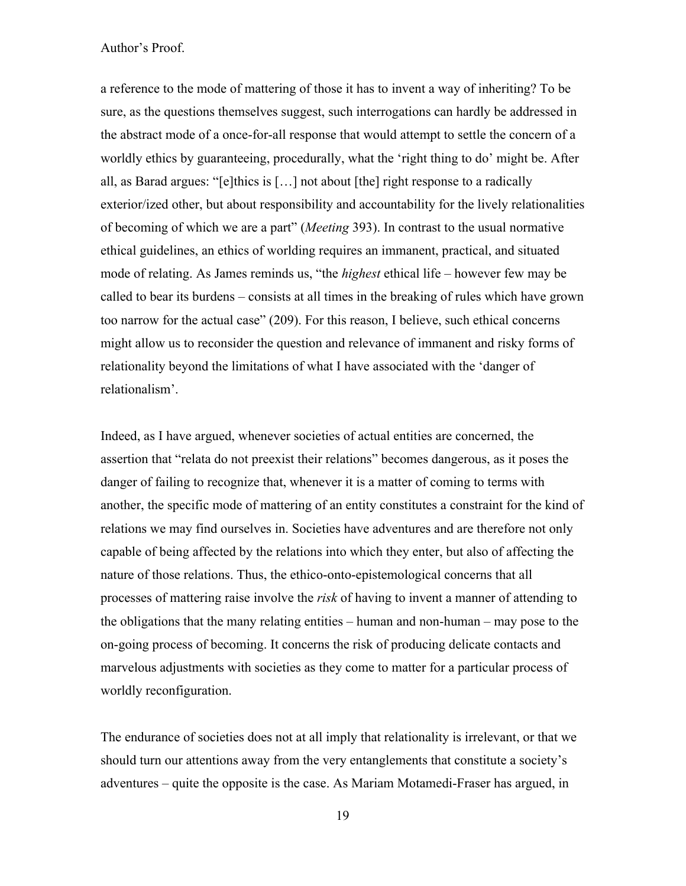a reference to the mode of mattering of those it has to invent a way of inheriting? To be sure, as the questions themselves suggest, such interrogations can hardly be addressed in the abstract mode of a once-for-all response that would attempt to settle the concern of a worldly ethics by guaranteeing, procedurally, what the 'right thing to do' might be. After all, as Barad argues: "[e]thics is […] not about [the] right response to a radically exterior/ized other, but about responsibility and accountability for the lively relationalities of becoming of which we are a part" (*Meeting* 393). In contrast to the usual normative ethical guidelines, an ethics of worlding requires an immanent, practical, and situated mode of relating. As James reminds us, "the *highest* ethical life – however few may be called to bear its burdens – consists at all times in the breaking of rules which have grown too narrow for the actual case" (209). For this reason, I believe, such ethical concerns might allow us to reconsider the question and relevance of immanent and risky forms of relationality beyond the limitations of what I have associated with the 'danger of relationalism'.

Indeed, as I have argued, whenever societies of actual entities are concerned, the assertion that "relata do not preexist their relations" becomes dangerous, as it poses the danger of failing to recognize that, whenever it is a matter of coming to terms with another, the specific mode of mattering of an entity constitutes a constraint for the kind of relations we may find ourselves in. Societies have adventures and are therefore not only capable of being affected by the relations into which they enter, but also of affecting the nature of those relations. Thus, the ethico-onto-epistemological concerns that all processes of mattering raise involve the *risk* of having to invent a manner of attending to the obligations that the many relating entities – human and non-human – may pose to the on-going process of becoming. It concerns the risk of producing delicate contacts and marvelous adjustments with societies as they come to matter for a particular process of worldly reconfiguration.

The endurance of societies does not at all imply that relationality is irrelevant, or that we should turn our attentions away from the very entanglements that constitute a society's adventures – quite the opposite is the case. As Mariam Motamedi-Fraser has argued, in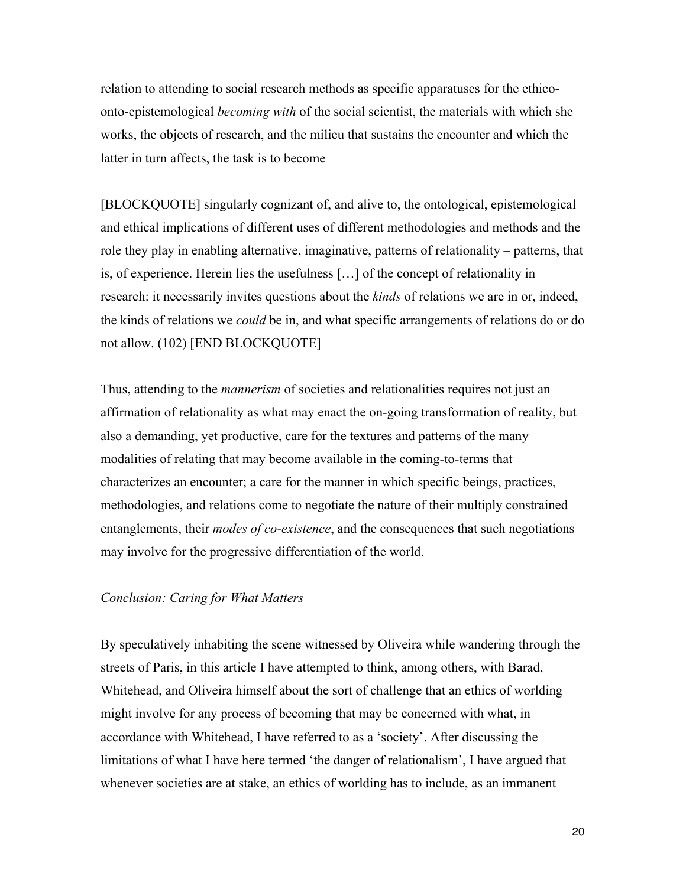relation to attending to social research methods as specific apparatuses for the ethicoonto-epistemological *becoming with* of the social scientist, the materials with which she works, the objects of research, and the milieu that sustains the encounter and which the latter in turn affects, the task is to become

[BLOCKQUOTE] singularly cognizant of, and alive to, the ontological, epistemological and ethical implications of different uses of different methodologies and methods and the role they play in enabling alternative, imaginative, patterns of relationality – patterns, that is, of experience. Herein lies the usefulness […] of the concept of relationality in research: it necessarily invites questions about the *kinds* of relations we are in or, indeed, the kinds of relations we *could* be in, and what specific arrangements of relations do or do not allow. (102) [END BLOCKQUOTE]

Thus, attending to the *mannerism* of societies and relationalities requires not just an affirmation of relationality as what may enact the on-going transformation of reality, but also a demanding, yet productive, care for the textures and patterns of the many modalities of relating that may become available in the coming-to-terms that characterizes an encounter; a care for the manner in which specific beings, practices, methodologies, and relations come to negotiate the nature of their multiply constrained entanglements, their *modes of co-existence*, and the consequences that such negotiations may involve for the progressive differentiation of the world.

#### *Conclusion: Caring for What Matters*

By speculatively inhabiting the scene witnessed by Oliveira while wandering through the streets of Paris, in this article I have attempted to think, among others, with Barad, Whitehead, and Oliveira himself about the sort of challenge that an ethics of worlding might involve for any process of becoming that may be concerned with what, in accordance with Whitehead, I have referred to as a 'society'. After discussing the limitations of what I have here termed 'the danger of relationalism', I have argued that whenever societies are at stake, an ethics of worlding has to include, as an immanent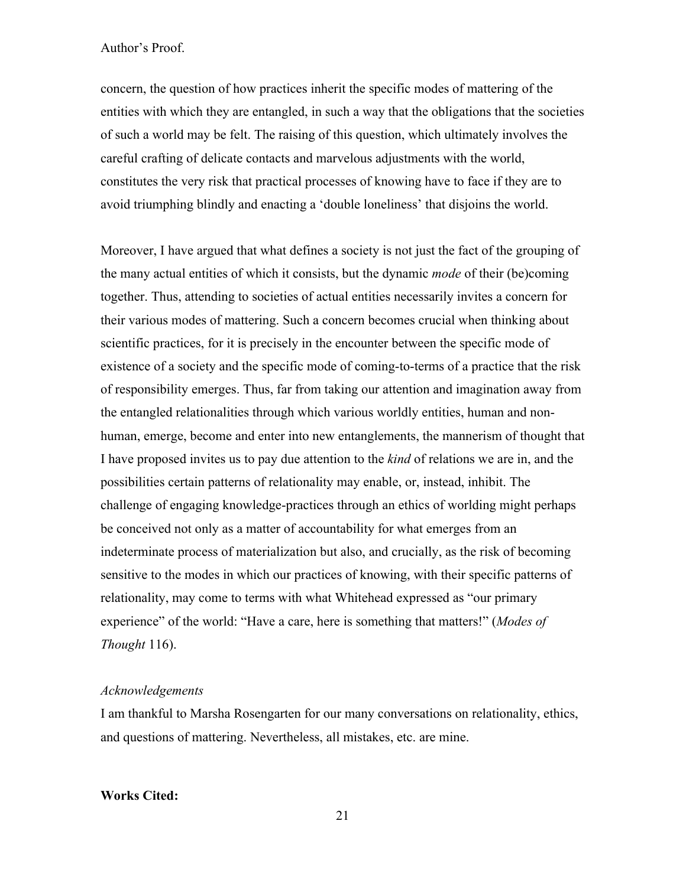concern, the question of how practices inherit the specific modes of mattering of the entities with which they are entangled, in such a way that the obligations that the societies of such a world may be felt. The raising of this question, which ultimately involves the careful crafting of delicate contacts and marvelous adjustments with the world, constitutes the very risk that practical processes of knowing have to face if they are to avoid triumphing blindly and enacting a 'double loneliness' that disjoins the world.

Moreover, I have argued that what defines a society is not just the fact of the grouping of the many actual entities of which it consists, but the dynamic *mode* of their (be)coming together. Thus, attending to societies of actual entities necessarily invites a concern for their various modes of mattering. Such a concern becomes crucial when thinking about scientific practices, for it is precisely in the encounter between the specific mode of existence of a society and the specific mode of coming-to-terms of a practice that the risk of responsibility emerges. Thus, far from taking our attention and imagination away from the entangled relationalities through which various worldly entities, human and nonhuman, emerge, become and enter into new entanglements, the mannerism of thought that I have proposed invites us to pay due attention to the *kind* of relations we are in, and the possibilities certain patterns of relationality may enable, or, instead, inhibit. The challenge of engaging knowledge-practices through an ethics of worlding might perhaps be conceived not only as a matter of accountability for what emerges from an indeterminate process of materialization but also, and crucially, as the risk of becoming sensitive to the modes in which our practices of knowing, with their specific patterns of relationality, may come to terms with what Whitehead expressed as "our primary experience" of the world: "Have a care, here is something that matters!" (*Modes of Thought* 116).

#### *Acknowledgements*

I am thankful to Marsha Rosengarten for our many conversations on relationality, ethics, and questions of mattering. Nevertheless, all mistakes, etc. are mine.

#### **Works Cited:**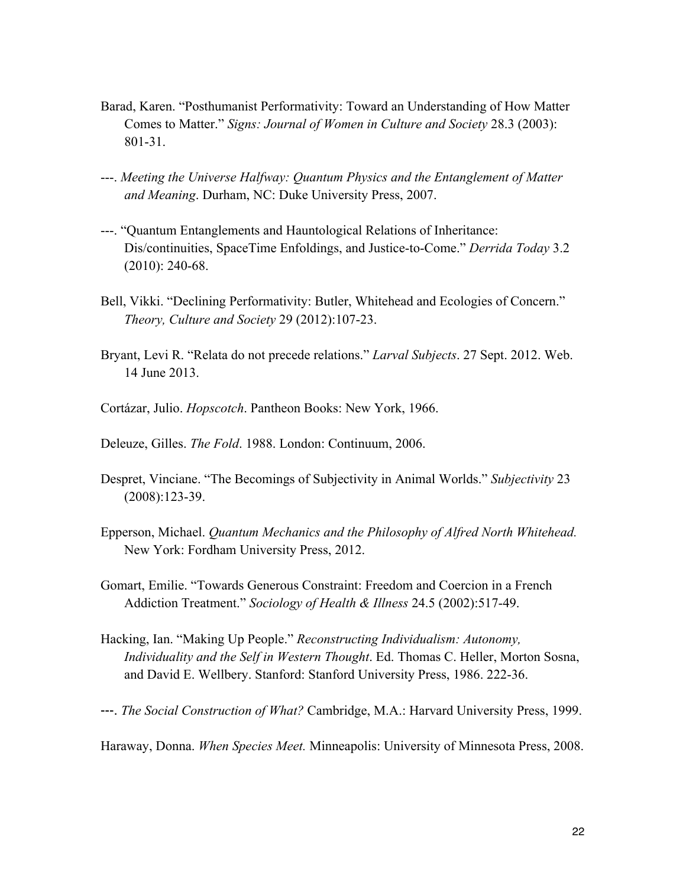- Barad, Karen. "Posthumanist Performativity: Toward an Understanding of How Matter Comes to Matter." *Signs: Journal of Women in Culture and Society* 28.3 (2003): 801-31.
- ---. *Meeting the Universe Halfway: Quantum Physics and the Entanglement of Matter and Meaning*. Durham, NC: Duke University Press, 2007.
- ---. "Quantum Entanglements and Hauntological Relations of Inheritance: Dis/continuities, SpaceTime Enfoldings, and Justice-to-Come." *Derrida Today* 3.2 (2010): 240-68.
- Bell, Vikki. "Declining Performativity: Butler, Whitehead and Ecologies of Concern." *Theory, Culture and Society* 29 (2012):107-23.
- Bryant, Levi R. "Relata do not precede relations." *Larval Subjects*. 27 Sept. 2012. Web. 14 June 2013.
- Cortázar, Julio. *Hopscotch*. Pantheon Books: New York, 1966.
- Deleuze, Gilles. *The Fold*. 1988. London: Continuum, 2006.
- Despret, Vinciane. "The Becomings of Subjectivity in Animal Worlds." *Subjectivity* 23 (2008):123-39.
- Epperson, Michael. *Quantum Mechanics and the Philosophy of Alfred North Whitehead.* New York: Fordham University Press, 2012.
- Gomart, Emilie. "Towards Generous Constraint: Freedom and Coercion in a French Addiction Treatment." *Sociology of Health & Illness* 24.5 (2002):517-49.
- Hacking, Ian. "Making Up People." *Reconstructing Individualism: Autonomy, Individuality and the Self in Western Thought*. Ed. Thomas C. Heller, Morton Sosna, and David E. Wellbery. Stanford: Stanford University Press, 1986. 222-36.
- ---. *The Social Construction of What?* Cambridge, M.A.: Harvard University Press, 1999.

Haraway, Donna. *When Species Meet.* Minneapolis: University of Minnesota Press, 2008.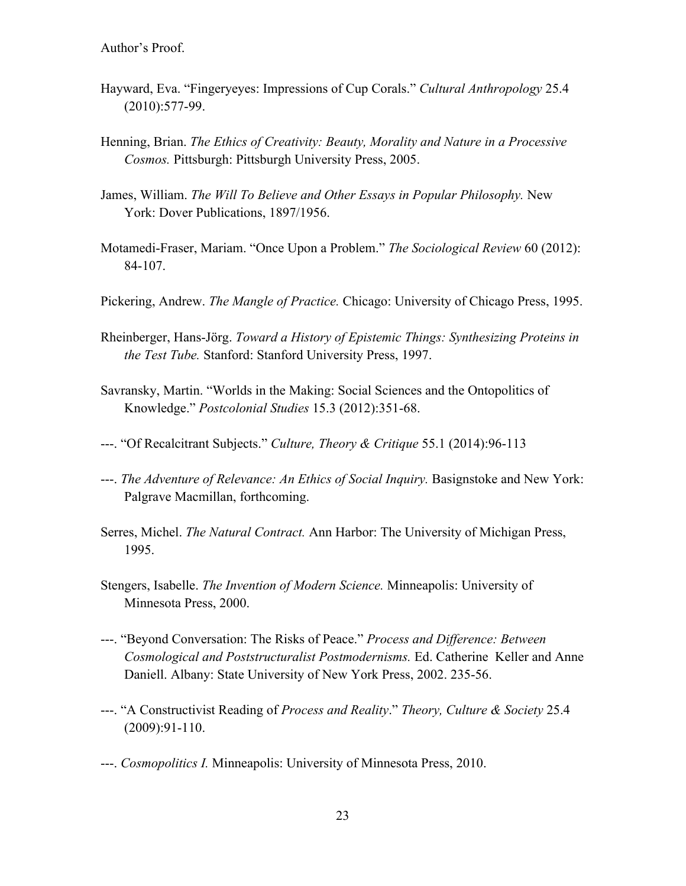- Hayward, Eva. "Fingeryeyes: Impressions of Cup Corals." *Cultural Anthropology* 25.4 (2010):577-99.
- Henning, Brian. *The Ethics of Creativity: Beauty, Morality and Nature in a Processive Cosmos.* Pittsburgh: Pittsburgh University Press, 2005.
- James, William. *The Will To Believe and Other Essays in Popular Philosophy.* New York: Dover Publications, 1897/1956.
- Motamedi-Fraser, Mariam. "Once Upon a Problem." *The Sociological Review* 60 (2012): 84-107.
- Pickering, Andrew. *The Mangle of Practice.* Chicago: University of Chicago Press, 1995.
- Rheinberger, Hans-Jörg. *Toward a History of Epistemic Things: Synthesizing Proteins in the Test Tube.* Stanford: Stanford University Press, 1997.
- Savransky, Martin. "Worlds in the Making: Social Sciences and the Ontopolitics of Knowledge." *Postcolonial Studies* 15.3 (2012):351-68.
- ---. "Of Recalcitrant Subjects." *Culture, Theory & Critique* 55.1 (2014):96-113
- ---. *The Adventure of Relevance: An Ethics of Social Inquiry.* Basignstoke and New York: Palgrave Macmillan, forthcoming.
- Serres, Michel. *The Natural Contract.* Ann Harbor: The University of Michigan Press, 1995.
- Stengers, Isabelle. *The Invention of Modern Science.* Minneapolis: University of Minnesota Press, 2000.
- ---. "Beyond Conversation: The Risks of Peace." *Process and Difference: Between Cosmological and Poststructuralist Postmodernisms.* Ed. Catherine Keller and Anne Daniell. Albany: State University of New York Press, 2002. 235-56.
- ---. "A Constructivist Reading of *Process and Reality*." *Theory, Culture & Society* 25.4 (2009):91-110.
- ---. *Cosmopolitics I.* Minneapolis: University of Minnesota Press, 2010.